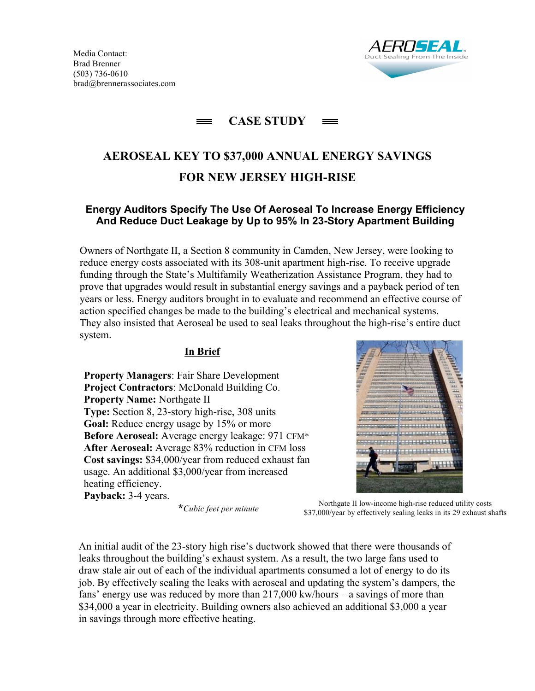

## **CASE STUDY**

# **AEROSEAL KEY TO \$37,000 ANNUAL ENERGY SAVINGS FOR NEW JERSEY HIGH-RISE**

### **Energy Auditors Specify The Use Of Aeroseal To Increase Energy Efficiency And Reduce Duct Leakage by Up to 95% In 23-Story Apartment Building**

Owners of Northgate II, a Section 8 community in Camden, New Jersey, were looking to reduce energy costs associated with its 308-unit apartment high-rise. To receive upgrade funding through the State's Multifamily Weatherization Assistance Program, they had to prove that upgrades would result in substantial energy savings and a payback period of ten years or less. Energy auditors brought in to evaluate and recommend an effective course of action specified changes be made to the building's electrical and mechanical systems. They also insisted that Aeroseal be used to seal leaks throughout the high-rise's entire duct system.

#### **In Brief**

**Property Managers**: Fair Share Development **Project Contractors**: McDonald Building Co. **Property Name:** Northgate II **Type:** Section 8, 23-story high-rise, 308 units **Goal:** Reduce energy usage by 15% or more **Before Aeroseal:** Average energy leakage: 971 CFM\* **After Aeroseal:** Average 83% reduction in CFM loss **Cost savings:** \$34,000/year from reduced exhaust fan usage. An additional \$3,000/year from increased heating efficiency.

**Payback:** 3-4 years.

**\****Cubic feet per minute*<br>**\***  $\frac{1}{2}$   $\frac{1}{2}$   $\frac{1}{2}$   $\frac{1}{2}$   $\frac{1}{2}$   $\frac{1}{2}$   $\frac{1}{2}$   $\frac{1}{2}$   $\frac{1}{2}$   $\frac{1}{2}$   $\frac{1}{2}$   $\frac{1}{2}$   $\frac{1}{2}$   $\frac{1}{2}$   $\frac{1}{2}$   $\frac{1}{2}$   $\frac{1}{2}$   $\frac{1}{2}$   $\frac{1}{2}$  \$37,000/year by effectively sealing leaks in its 29 exhaust shafts

An initial audit of the 23-story high rise's ductwork showed that there were thousands of leaks throughout the building's exhaust system. As a result, the two large fans used to draw stale air out of each of the individual apartments consumed a lot of energy to do its job. By effectively sealing the leaks with aeroseal and updating the system's dampers, the fans' energy use was reduced by more than 217,000 kw/hours – a savings of more than \$34,000 a year in electricity. Building owners also achieved an additional \$3,000 a year in savings through more effective heating.